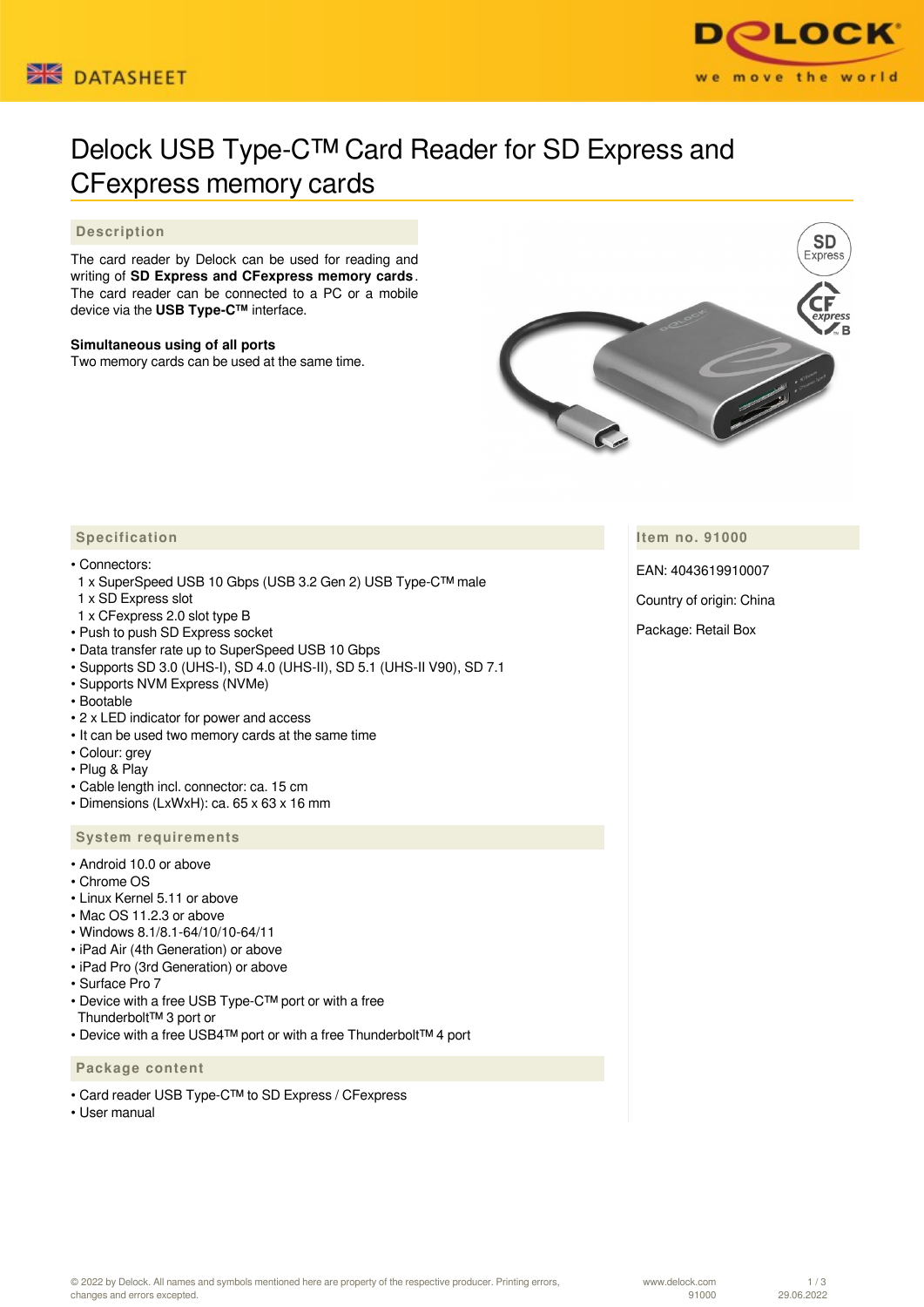



# Delock USB Type-C™ Card Reader for SD Express and CFexpress memory cards

## **Description**

The card reader by Delock can be used for reading and writing of **SD Express and CFexpress memory cards** . The card reader can be connected to a PC or a mobile device via the **USB Type-C™** interface.

#### **Simultaneous using of all ports**

Two memory cards can be used at the same time.



**Item no. 91000**

EAN: 4043619910007

Country of origin: China

Package: Retail Box

# **Specification**

#### • Connectors:

- 1 x SuperSpeed USB 10 Gbps (USB 3.2 Gen 2) USB Type-C™ male
- 1 x SD Express slot
- 1 x CFexpress 2.0 slot type B
- Push to push SD Express socket
- Data transfer rate up to SuperSpeed USB 10 Gbps
- Supports SD 3.0 (UHS-I), SD 4.0 (UHS-II), SD 5.1 (UHS-II V90), SD 7.1
- Supports NVM Express (NVMe)
- Bootable
- 2 x LED indicator for power and access
- It can be used two memory cards at the same time
- Colour: grey
- Plug & Play
- Cable length incl. connector: ca. 15 cm
- Dimensions (LxWxH): ca. 65 x 63 x 16 mm

#### **System requirements**

- Android 10.0 or above
- Chrome OS
- Linux Kernel 5.11 or above
- Mac OS 11.2.3 or above
- Windows 8.1/8.1-64/10/10-64/11
- iPad Air (4th Generation) or above
- iPad Pro (3rd Generation) or above
- Surface Pro 7
- Device with a free USB Type-C™ port or with a free Thunderbolt™ 3 port or
- Device with a free USB4™ port or with a free Thunderbolt™ 4 port

### **Package content**

- Card reader USB Type-C™ to SD Express / CFexpress
- User manual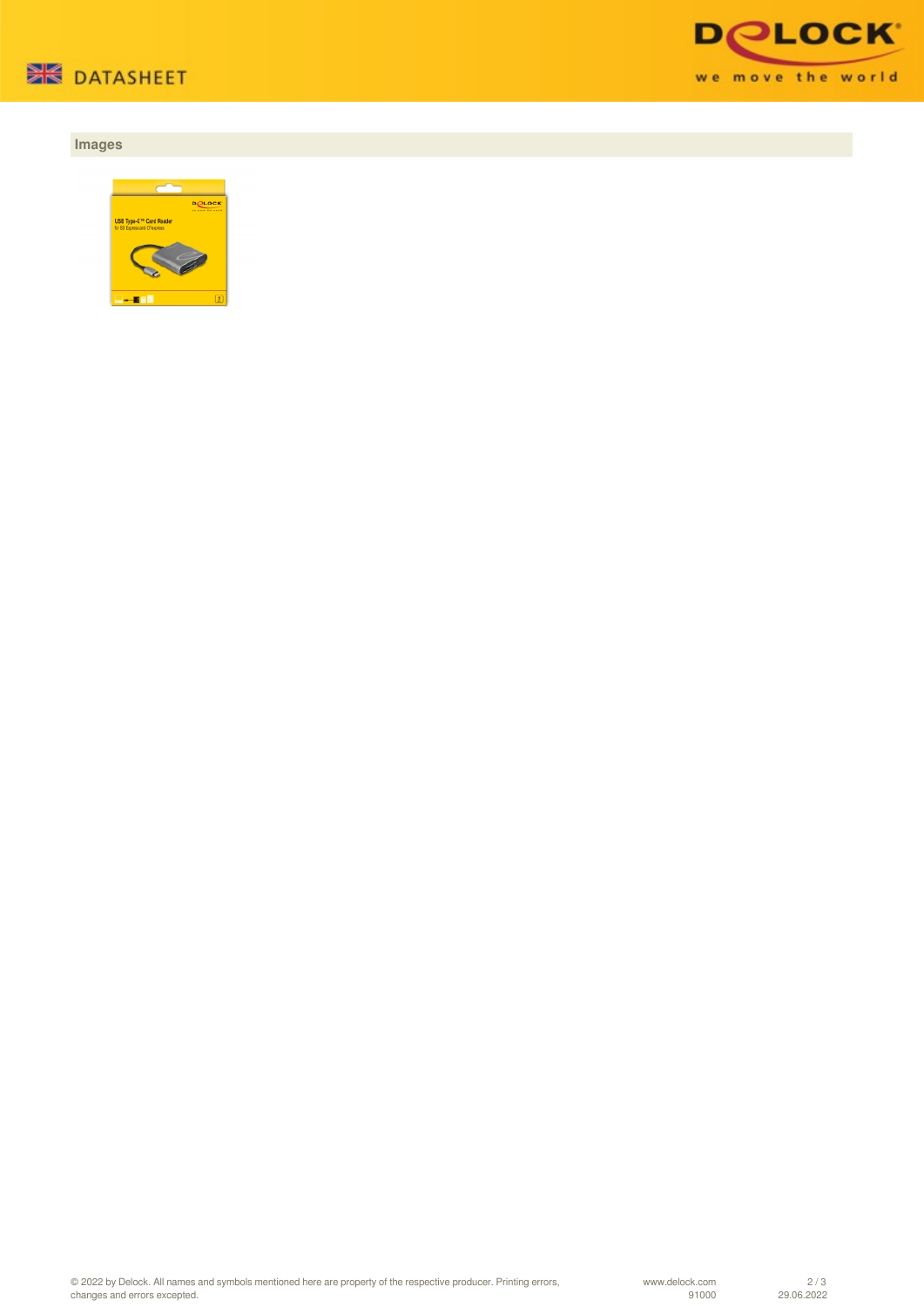

# **Images**